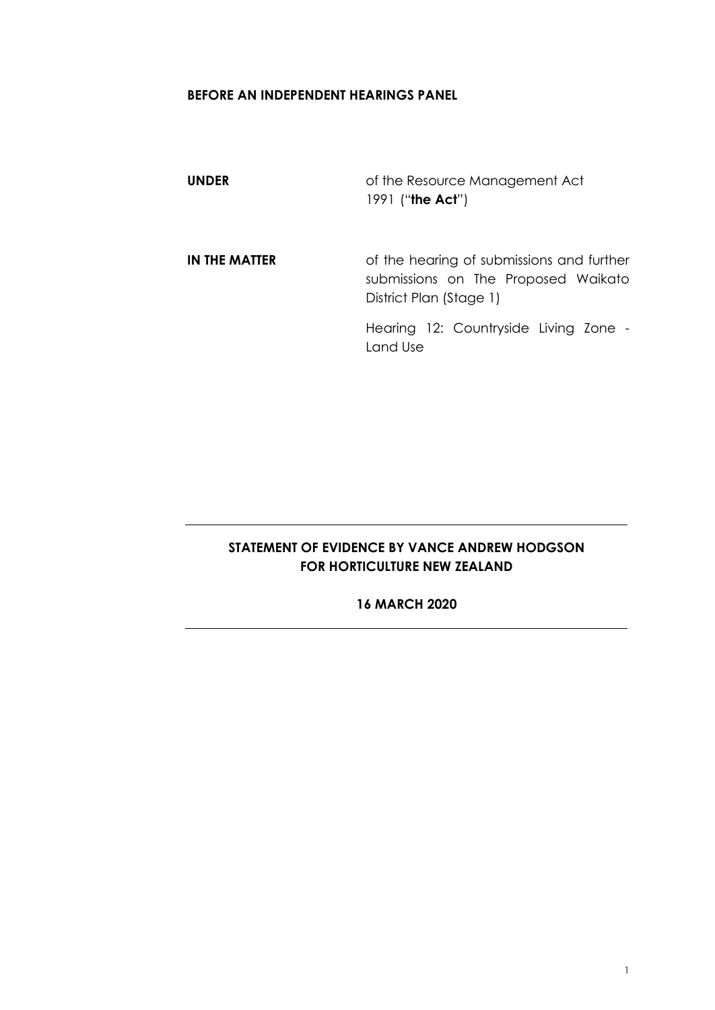#### **BEFORE AN INDEPENDENT HEARINGS PANEL**

| <b>UNDER</b>  | of the Resource Management Act<br>1991 ("the Act")                                                          |
|---------------|-------------------------------------------------------------------------------------------------------------|
| IN THE MATTER | of the hearing of submissions and further<br>submissions on The Proposed Waikato<br>District Plan (Stage 1) |
|               | Hearing 12: Countryside Living Zone -<br>Land Use                                                           |

# **STATEMENT OF EVIDENCE BY VANCE ANDREW HODGSON FOR HORTICULTURE NEW ZEALAND**

#### **16 MARCH 2020**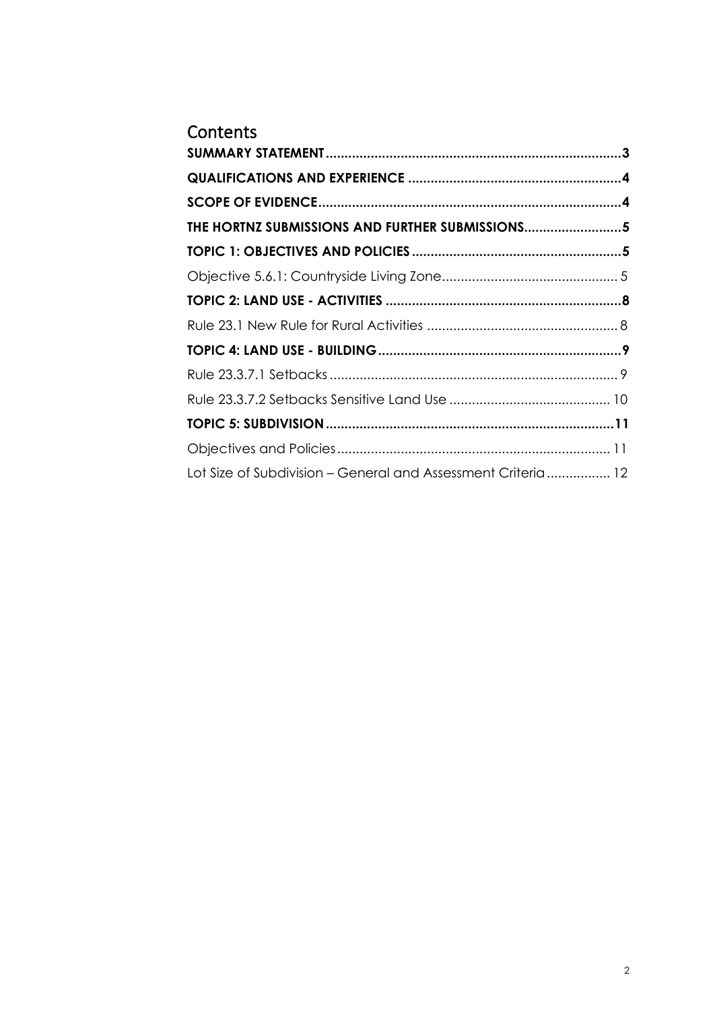| Contents                                                     |  |
|--------------------------------------------------------------|--|
|                                                              |  |
|                                                              |  |
|                                                              |  |
| THE HORTNZ SUBMISSIONS AND FURTHER SUBMISSIONS5              |  |
|                                                              |  |
|                                                              |  |
|                                                              |  |
|                                                              |  |
|                                                              |  |
|                                                              |  |
|                                                              |  |
|                                                              |  |
|                                                              |  |
| Lot Size of Subdivision – General and Assessment Criteria 12 |  |
|                                                              |  |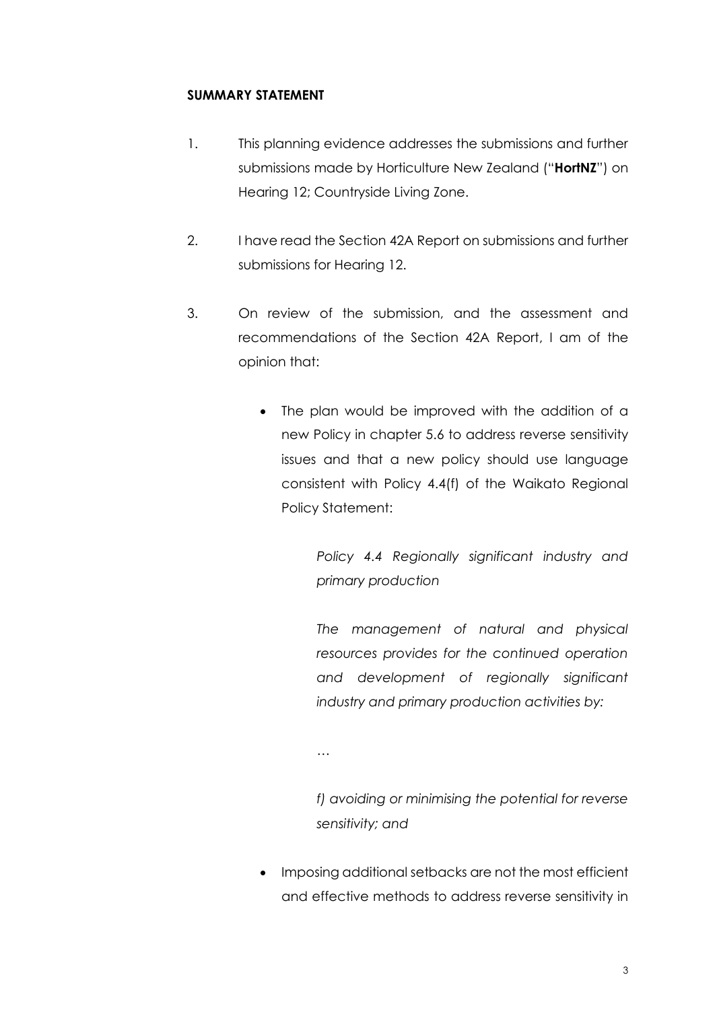#### <span id="page-2-0"></span>**SUMMARY STATEMENT**

- 1. This planning evidence addresses the submissions and further submissions made by Horticulture New Zealand ("**HortNZ**") on Hearing 12; Countryside Living Zone.
- 2. I have read the Section 42A Report on submissions and further submissions for Hearing 12.
- 3. On review of the submission, and the assessment and recommendations of the Section 42A Report, I am of the opinion that:
	- The plan would be improved with the addition of a new Policy in chapter 5.6 to address reverse sensitivity issues and that a new policy should use language consistent with Policy 4.4(f) of the Waikato Regional Policy Statement:

*Policy 4.4 Regionally significant industry and primary production*

*The management of natural and physical resources provides for the continued operation and development of regionally significant industry and primary production activities by:* 

*…*

*f) avoiding or minimising the potential for reverse sensitivity; and* 

• Imposing additional setbacks are not the most efficient and effective methods to address reverse sensitivity in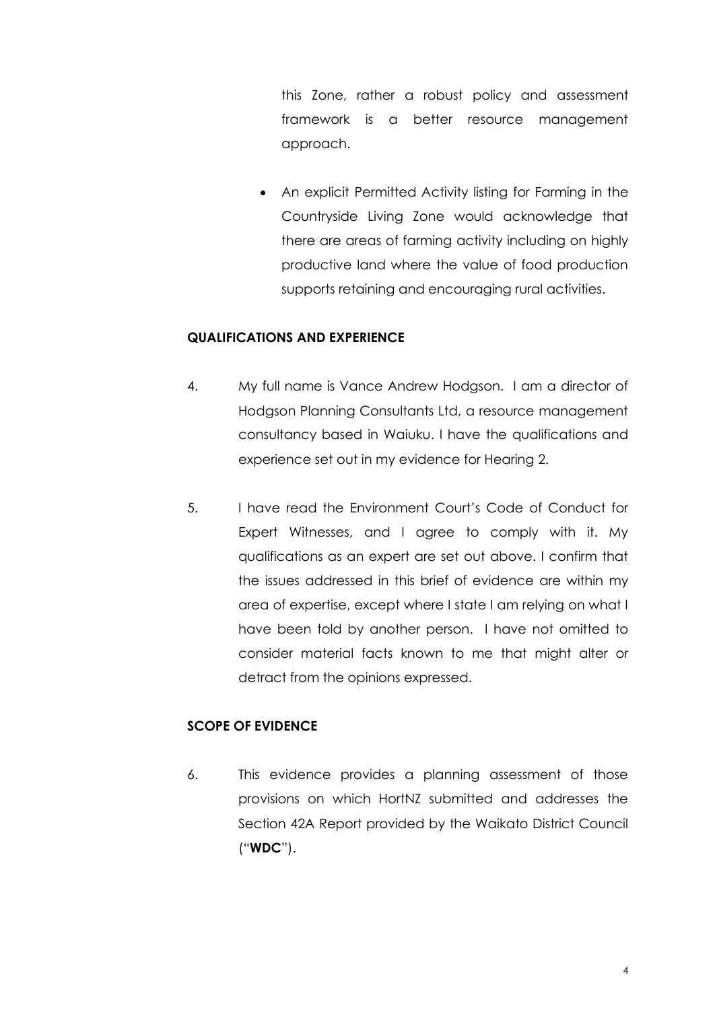this Zone, rather a robust policy and assessment framework is a better resource management approach.

• An explicit Permitted Activity listing for Farming in the Countryside Living Zone would acknowledge that there are areas of farming activity including on highly productive land where the value of food production supports retaining and encouraging rural activities.

#### <span id="page-3-0"></span>**QUALIFICATIONS AND EXPERIENCE**

- 4. My full name is Vance Andrew Hodgson. I am a director of Hodgson Planning Consultants Ltd, a resource management consultancy based in Waiuku. I have the qualifications and experience set out in my evidence for Hearing 2.
- 5. I have read the Environment Court's Code of Conduct for Expert Witnesses, and I agree to comply with it. My qualifications as an expert are set out above. I confirm that the issues addressed in this brief of evidence are within my area of expertise, except where I state I am relying on what I have been told by another person. I have not omitted to consider material facts known to me that might alter or detract from the opinions expressed.

#### <span id="page-3-1"></span>**SCOPE OF EVIDENCE**

6. This evidence provides a planning assessment of those provisions on which HortNZ submitted and addresses the Section 42A Report provided by the Waikato District Council ("**WDC**").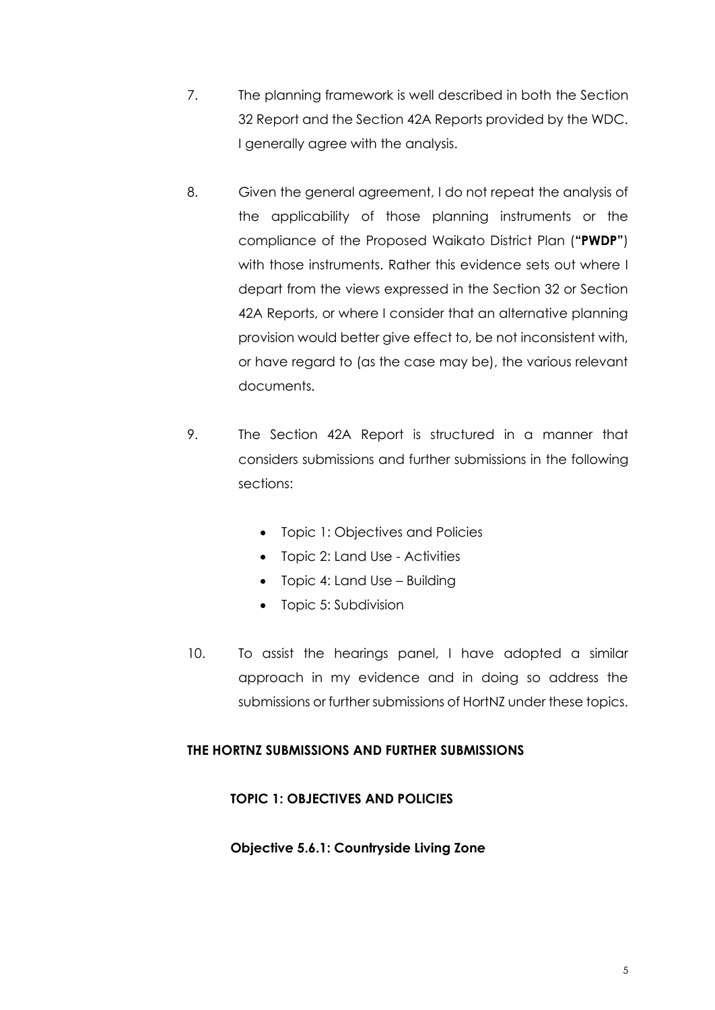- 7. The planning framework is well described in both the Section 32 Report and the Section 42A Reports provided by the WDC. I generally agree with the analysis.
- 8. Given the general agreement, I do not repeat the analysis of the applicability of those planning instruments or the compliance of the Proposed Waikato District Plan (**"PWDP"**) with those instruments. Rather this evidence sets out where I depart from the views expressed in the Section 32 or Section 42A Reports, or where I consider that an alternative planning provision would better give effect to, be not inconsistent with, or have regard to (as the case may be), the various relevant documents.
- 9. The Section 42A Report is structured in a manner that considers submissions and further submissions in the following sections:
	- Topic 1: Objectives and Policies
	- Topic 2: Land Use Activities
	- Topic 4: Land Use Building
	- Topic 5: Subdivision
- 10. To assist the hearings panel, I have adopted a similar approach in my evidence and in doing so address the submissions or further submissions of HortNZ under these topics.

#### <span id="page-4-0"></span>**THE HORTNZ SUBMISSIONS AND FURTHER SUBMISSIONS**

#### <span id="page-4-1"></span>**TOPIC 1: OBJECTIVES AND POLICIES**

#### <span id="page-4-2"></span>**Objective 5.6.1: Countryside Living Zone**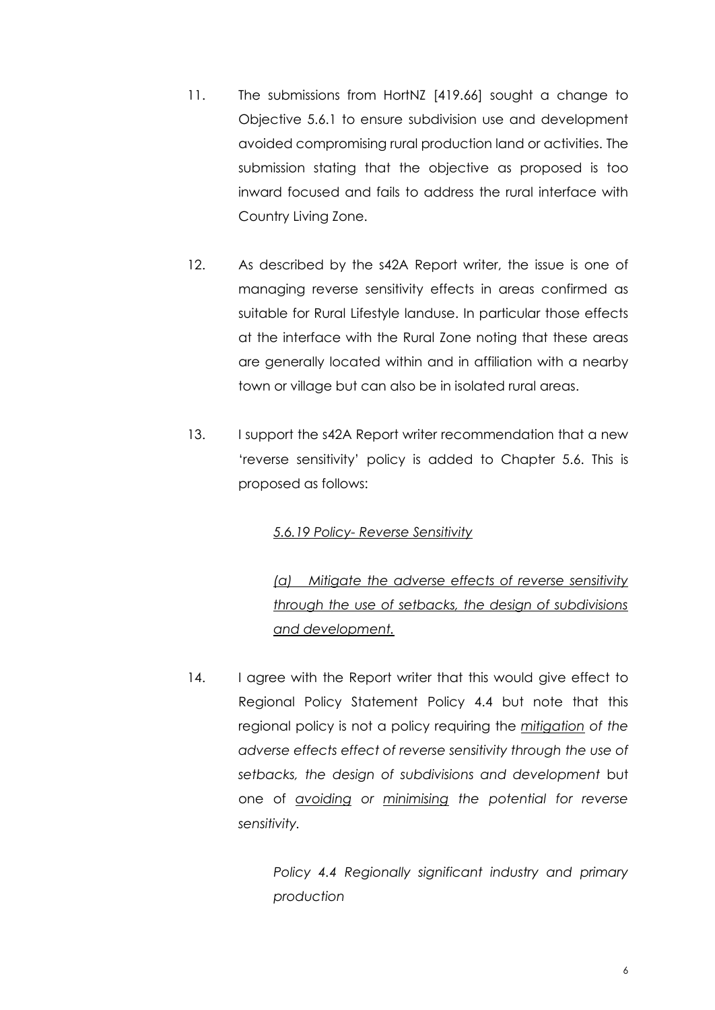- 11. The submissions from HortNZ [419.66] sought a change to Objective 5.6.1 to ensure subdivision use and development avoided compromising rural production land or activities. The submission stating that the objective as proposed is too inward focused and fails to address the rural interface with Country Living Zone.
- 12. As described by the s42A Report writer, the issue is one of managing reverse sensitivity effects in areas confirmed as suitable for Rural Lifestyle landuse. In particular those effects at the interface with the Rural Zone noting that these areas are generally located within and in affiliation with a nearby town or village but can also be in isolated rural areas.
- 13. I support the s42A Report writer recommendation that a new 'reverse sensitivity' policy is added to Chapter 5.6. This is proposed as follows:

#### *5.6.19 Policy- Reverse Sensitivity*

*(a) Mitigate the adverse effects of reverse sensitivity through the use of setbacks, the design of subdivisions and development.*

14. I agree with the Report writer that this would give effect to Regional Policy Statement Policy 4.4 but note that this regional policy is not a policy requiring the *mitigation of the adverse effects effect of reverse sensitivity through the use of setbacks, the design of subdivisions and development* but one of *avoiding or minimising the potential for reverse sensitivity.* 

> *Policy 4.4 Regionally significant industry and primary production*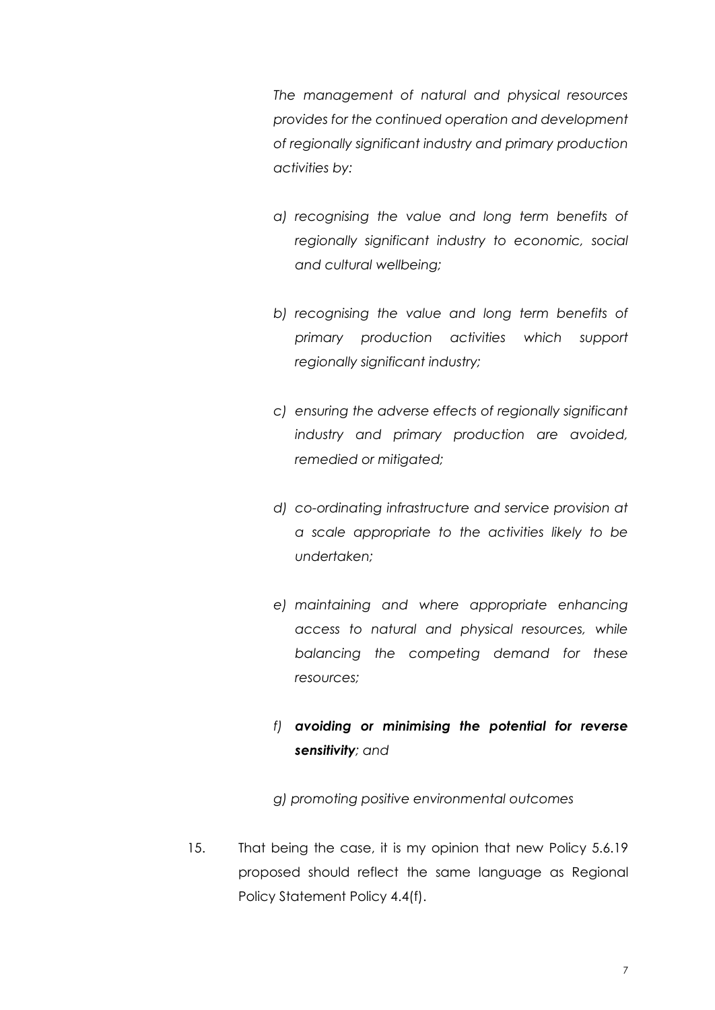*The management of natural and physical resources provides for the continued operation and development of regionally significant industry and primary production activities by:* 

- *a) recognising the value and long term benefits of regionally significant industry to economic, social and cultural wellbeing;*
- *b) recognising the value and long term benefits of primary production activities which support regionally significant industry;*
- *c) ensuring the adverse effects of regionally significant industry and primary production are avoided, remedied or mitigated;*
- *d) co-ordinating infrastructure and service provision at a scale appropriate to the activities likely to be undertaken;*
- *e) maintaining and where appropriate enhancing access to natural and physical resources, while balancing the competing demand for these resources;*

# *f) avoiding or minimising the potential for reverse sensitivity; and*

*g) promoting positive environmental outcomes*

15. That being the case, it is my opinion that new Policy 5.6.19 proposed should reflect the same language as Regional Policy Statement Policy 4.4(f).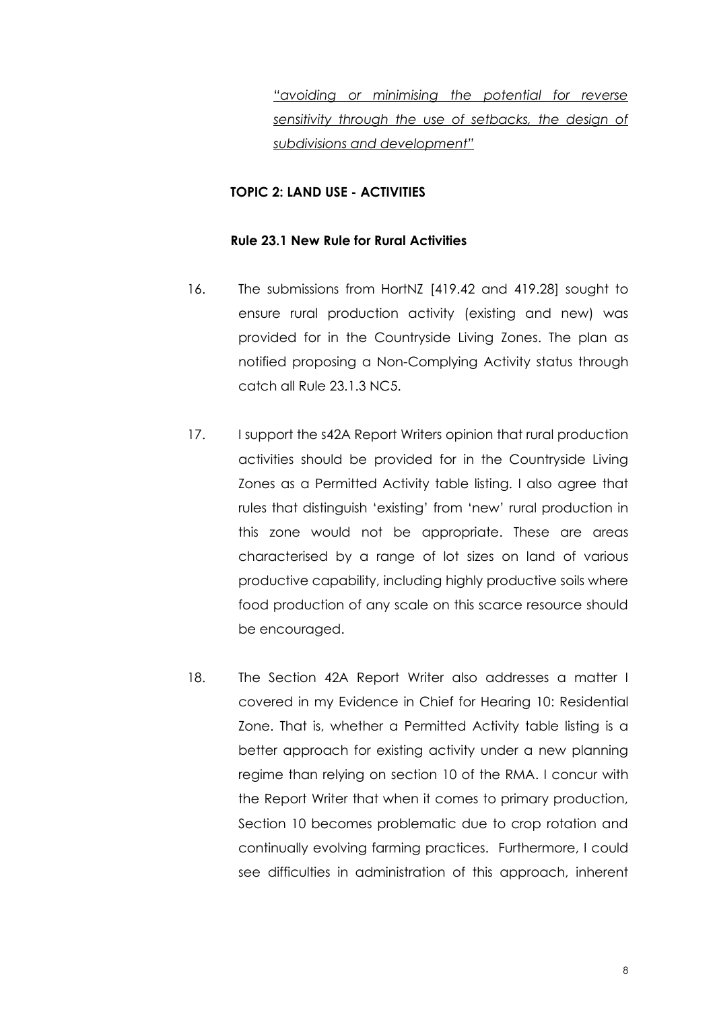*"avoiding or minimising the potential for reverse sensitivity through the use of setbacks, the design of subdivisions and development"*

## <span id="page-7-0"></span>**TOPIC 2: LAND USE - ACTIVITIES**

#### <span id="page-7-1"></span>**Rule 23.1 New Rule for Rural Activities**

- 16. The submissions from HortNZ [419.42 and 419.28] sought to ensure rural production activity (existing and new) was provided for in the Countryside Living Zones. The plan as notified proposing a Non-Complying Activity status through catch all Rule 23.1.3 NC5.
- 17. I support the s42A Report Writers opinion that rural production activities should be provided for in the Countryside Living Zones as a Permitted Activity table listing. I also agree that rules that distinguish 'existing' from 'new' rural production in this zone would not be appropriate. These are areas characterised by a range of lot sizes on land of various productive capability, including highly productive soils where food production of any scale on this scarce resource should be encouraged.
- 18. The Section 42A Report Writer also addresses a matter I covered in my Evidence in Chief for Hearing 10: Residential Zone. That is, whether a Permitted Activity table listing is a better approach for existing activity under a new planning regime than relying on section 10 of the RMA. I concur with the Report Writer that when it comes to primary production, Section 10 becomes problematic due to crop rotation and continually evolving farming practices. Furthermore, I could see difficulties in administration of this approach, inherent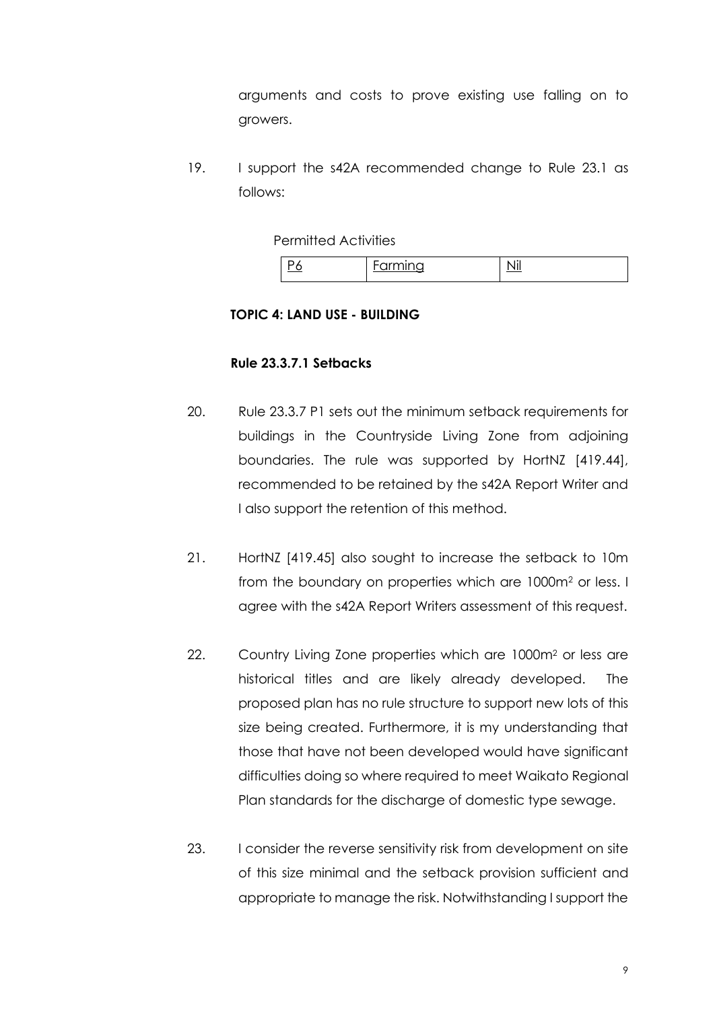arguments and costs to prove existing use falling on to growers.

19. I support the s42A recommended change to Rule 23.1 as follows:

Permitted Activities

|  | $\cdots$ |  |
|--|----------|--|
|--|----------|--|

#### <span id="page-8-0"></span>**TOPIC 4: LAND USE - BUILDING**

## <span id="page-8-1"></span>**Rule 23.3.7.1 Setbacks**

- 20. Rule 23.3.7 P1 sets out the minimum setback requirements for buildings in the Countryside Living Zone from adjoining boundaries. The rule was supported by HortNZ [419.44], recommended to be retained by the s42A Report Writer and I also support the retention of this method.
- 21. HortNZ [419.45] also sought to increase the setback to 10m from the boundary on properties which are 1000m<sup>2</sup> or less. I agree with the s42A Report Writers assessment of this request.
- 22. Country Living Zone properties which are 1000m<sup>2</sup> or less are historical titles and are likely already developed. The proposed plan has no rule structure to support new lots of this size being created. Furthermore, it is my understanding that those that have not been developed would have significant difficulties doing so where required to meet Waikato Regional Plan standards for the discharge of domestic type sewage.
- 23. I consider the reverse sensitivity risk from development on site of this size minimal and the setback provision sufficient and appropriate to manage the risk. Notwithstanding I support the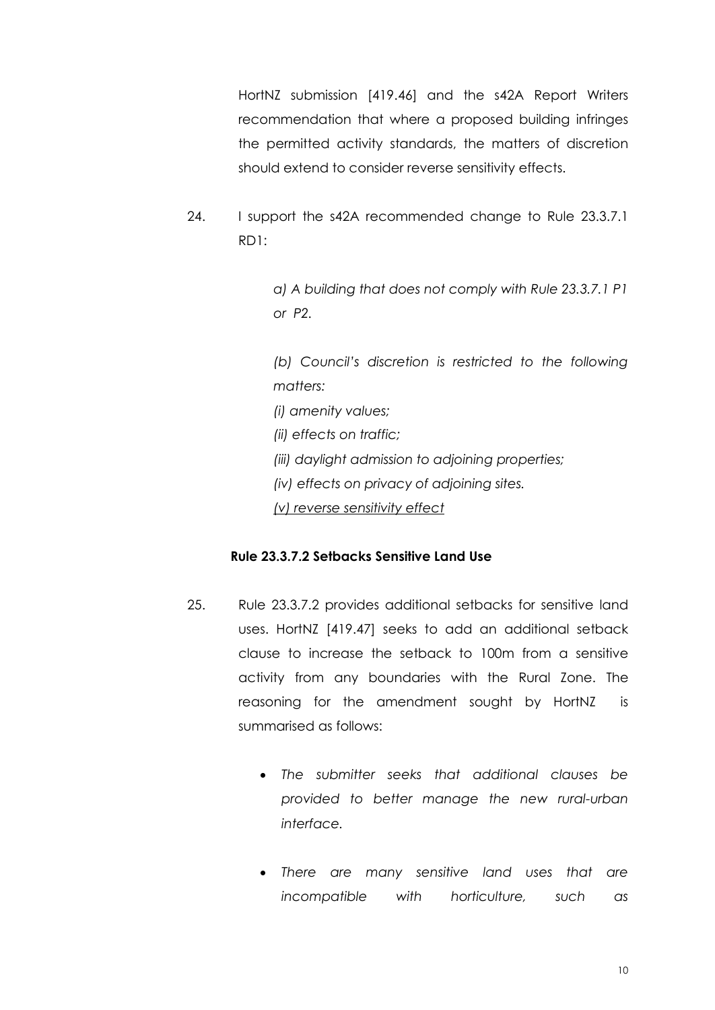HortNZ submission [419.46] and the s42A Report Writers recommendation that where a proposed building infringes the permitted activity standards, the matters of discretion should extend to consider reverse sensitivity effects.

24. I support the s42A recommended change to Rule 23.3.7.1 RD1:

> *a) A building that does not comply with Rule 23.3.7.1 P1 or P2.*

> *(b) Council's discretion is restricted to the following matters:*

*(i) amenity values;*

*(ii) effects on traffic;*

- *(iii) daylight admission to adjoining properties;*
- *(iv) effects on privacy of adjoining sites.*

*(v) reverse sensitivity effect*

#### <span id="page-9-0"></span>**Rule 23.3.7.2 Setbacks Sensitive Land Use**

- 25. Rule 23.3.7.2 provides additional setbacks for sensitive land uses. HortNZ [419.47] seeks to add an additional setback clause to increase the setback to 100m from a sensitive activity from any boundaries with the Rural Zone. The reasoning for the amendment sought by HortNZ is summarised as follows:
	- *The submitter seeks that additional clauses be provided to better manage the new rural-urban interface.*
	- *There are many sensitive land uses that are incompatible with horticulture, such as*

10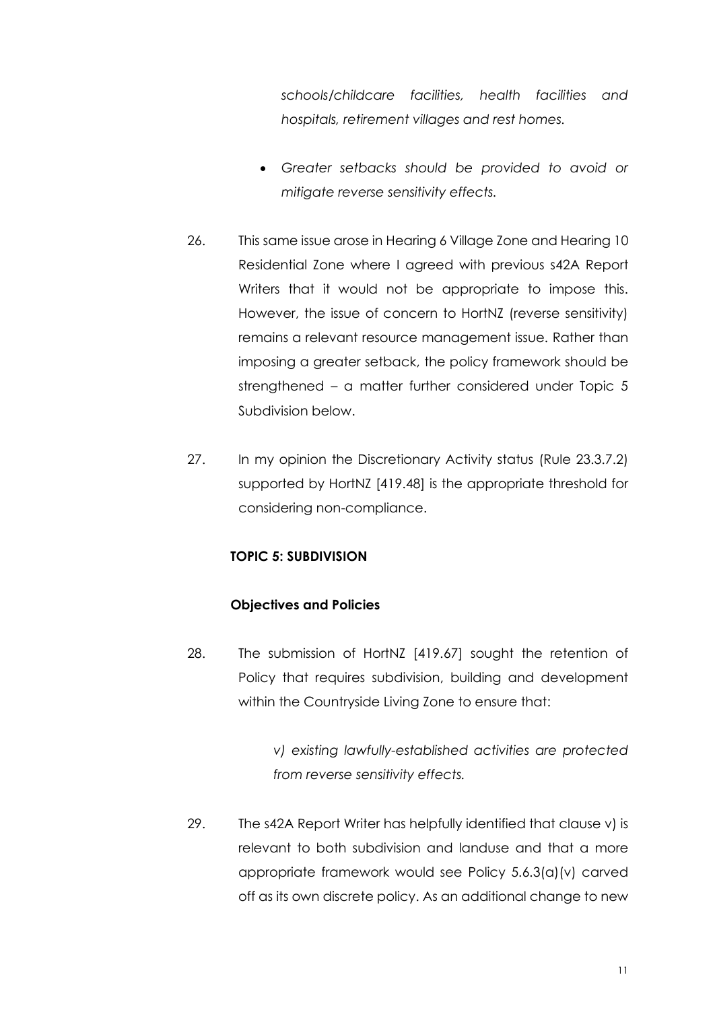*schools/childcare facilities, health facilities and hospitals, retirement villages and rest homes.* 

- *Greater setbacks should be provided to avoid or mitigate reverse sensitivity effects.*
- 26. This same issue arose in Hearing 6 Village Zone and Hearing 10 Residential Zone where I agreed with previous s42A Report Writers that it would not be appropriate to impose this. However, the issue of concern to HortNZ (reverse sensitivity) remains a relevant resource management issue. Rather than imposing a greater setback, the policy framework should be strengthened – a matter further considered under Topic 5 Subdivision below.
- 27. In my opinion the Discretionary Activity status (Rule 23.3.7.2) supported by HortNZ [419.48] is the appropriate threshold for considering non-compliance.

# <span id="page-10-0"></span>**TOPIC 5: SUBDIVISION**

#### <span id="page-10-1"></span>**Objectives and Policies**

28. The submission of HortNZ [419.67] sought the retention of Policy that requires subdivision, building and development within the Countryside Living Zone to ensure that:

> *v) existing lawfully-established activities are protected from reverse sensitivity effects.*

29. The s42A Report Writer has helpfully identified that clause v) is relevant to both subdivision and landuse and that a more appropriate framework would see Policy 5.6.3(a)(v) carved off as its own discrete policy. As an additional change to new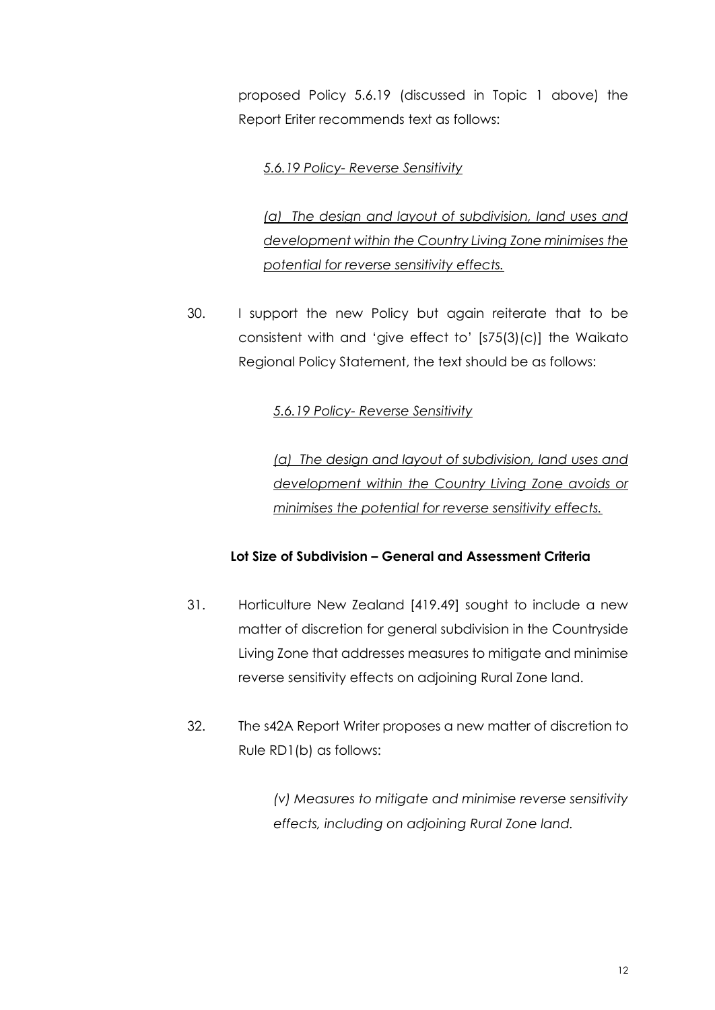proposed Policy 5.6.19 (discussed in Topic 1 above) the Report Eriter recommends text as follows:

## *5.6.19 Policy- Reverse Sensitivity*

*(a) The design and layout of subdivision, land uses and development within the Country Living Zone minimises the potential for reverse sensitivity effects.* 

30. I support the new Policy but again reiterate that to be consistent with and 'give effect to' [s75(3)(c)] the Waikato Regional Policy Statement, the text should be as follows:

#### *5.6.19 Policy- Reverse Sensitivity*

*(a) The design and layout of subdivision, land uses and development within the Country Living Zone avoids or minimises the potential for reverse sensitivity effects.* 

# <span id="page-11-0"></span>**Lot Size of Subdivision – General and Assessment Criteria**

- 31. Horticulture New Zealand [419.49] sought to include a new matter of discretion for general subdivision in the Countryside Living Zone that addresses measures to mitigate and minimise reverse sensitivity effects on adjoining Rural Zone land.
- 32. The s42A Report Writer proposes a new matter of discretion to Rule RD1(b) as follows:

*(v) Measures to mitigate and minimise reverse sensitivity effects, including on adjoining Rural Zone land.*